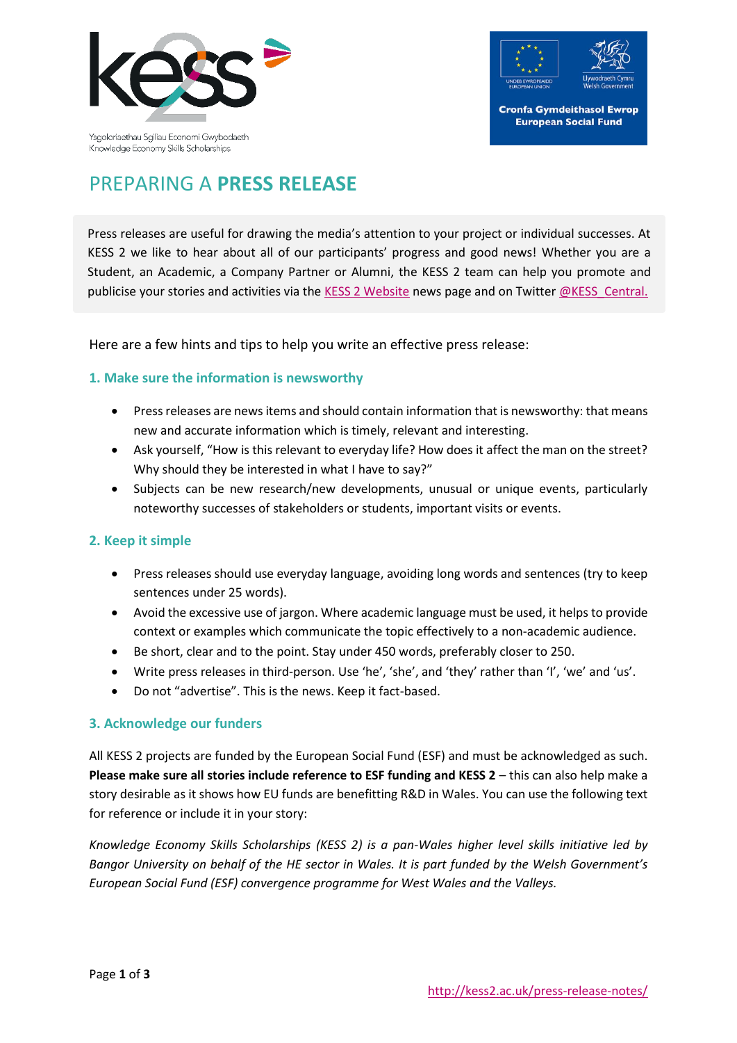



# PREPARING A **PRESS RELEASE**

Press releases are useful for drawing the media's attention to your project or individual successes. At KESS 2 we like to hear about all of our participants' progress and good news! Whether you are a Student, an Academic, a Company Partner or Alumni, the KESS 2 team can help you promote and publicise your stories and activities via the [KESS 2 Website](http://kess2.ac.uk/) news page and on Twitte[r @KESS\\_Central.](https://twitter.com/KESS_Central)

Here are a few hints and tips to help you write an effective press release:

### **1. Make sure the information is newsworthy**

- Pressreleases are news items and should contain information that is newsworthy: that means new and accurate information which is timely, relevant and interesting.
- Ask yourself, "How is this relevant to everyday life? How does it affect the man on the street? Why should they be interested in what I have to say?"
- Subjects can be new research/new developments, unusual or unique events, particularly noteworthy successes of stakeholders or students, important visits or events.

#### **2. Keep it simple**

- Press releases should use everyday language, avoiding long words and sentences (try to keep sentences under 25 words).
- Avoid the excessive use of jargon. Where academic language must be used, it helps to provide context or examples which communicate the topic effectively to a non-academic audience.
- Be short, clear and to the point. Stay under 450 words, preferably closer to 250.
- Write press releases in third-person. Use 'he', 'she', and 'they' rather than 'I', 'we' and 'us'.
- Do not "advertise". This is the news. Keep it fact-based.

### **3. Acknowledge our funders**

All KESS 2 projects are funded by the European Social Fund (ESF) and must be acknowledged as such. **Please make sure all stories include reference to ESF funding and KESS 2** – this can also help make a story desirable as it shows how EU funds are benefitting R&D in Wales. You can use the following text for reference or include it in your story:

*Knowledge Economy Skills Scholarships (KESS 2) is a pan-Wales higher level skills initiative led by Bangor University on behalf of the HE sector in Wales. It is part funded by the Welsh Government's European Social Fund (ESF) convergence programme for West Wales and the Valleys.*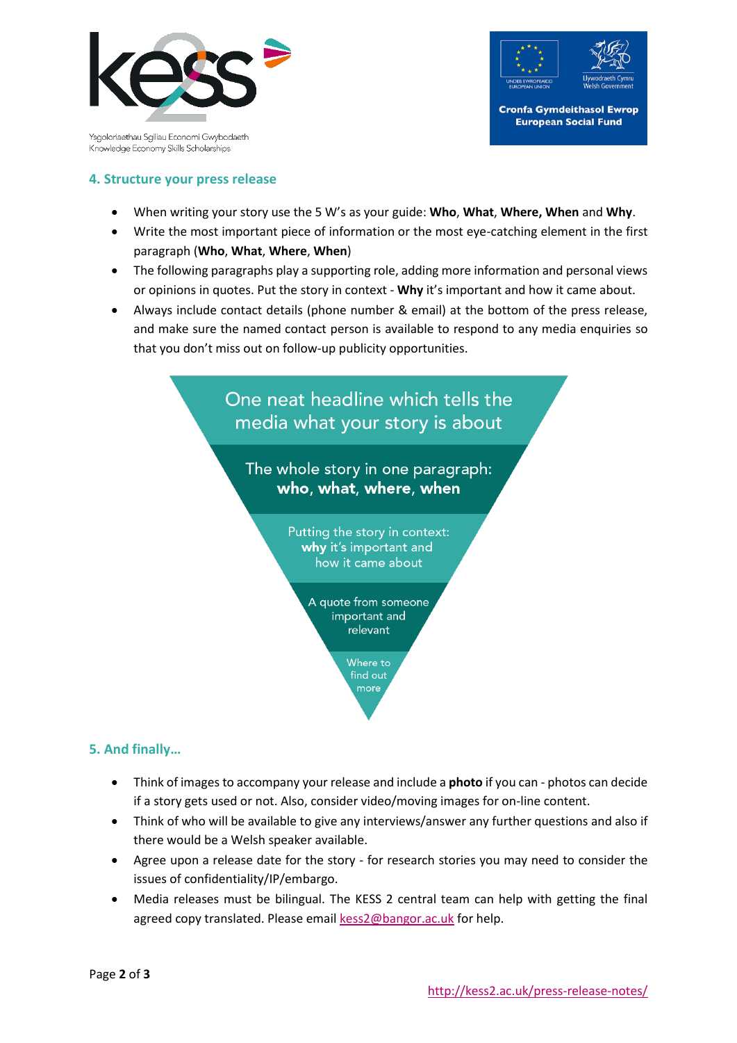

Ysgoloriaethau Sgiliau Economi Gwybodaeth Knowledge Economy Skills Scholarships



### **4. Structure your press release**

- When writing your story use the 5 W's as your guide: **Who**, **What**, **Where, When** and **Why**.
- Write the most important piece of information or the most eye-catching element in the first paragraph (**Who**, **What**, **Where**, **When**)
- The following paragraphs play a supporting role, adding more information and personal views or opinions in quotes. Put the story in context - **Why** it's important and how it came about.
- Always include contact details (phone number & email) at the bottom of the press release, and make sure the named contact person is available to respond to any media enquiries so that you don't miss out on follow-up publicity opportunities.



### **5. And finally…**

- Think of images to accompany your release and include a **photo** if you can photos can decide if a story gets used or not. Also, consider video/moving images for on-line content.
- Think of who will be available to give any interviews/answer any further questions and also if there would be a Welsh speaker available.
- Agree upon a release date for the story for research stories you may need to consider the issues of confidentiality/IP/embargo.
- Media releases must be bilingual. The KESS 2 central team can help with getting the final agreed copy translated. Please emai[l kess2@bangor.ac.uk](mailto:kess2@bangor.ac.uk) for help.